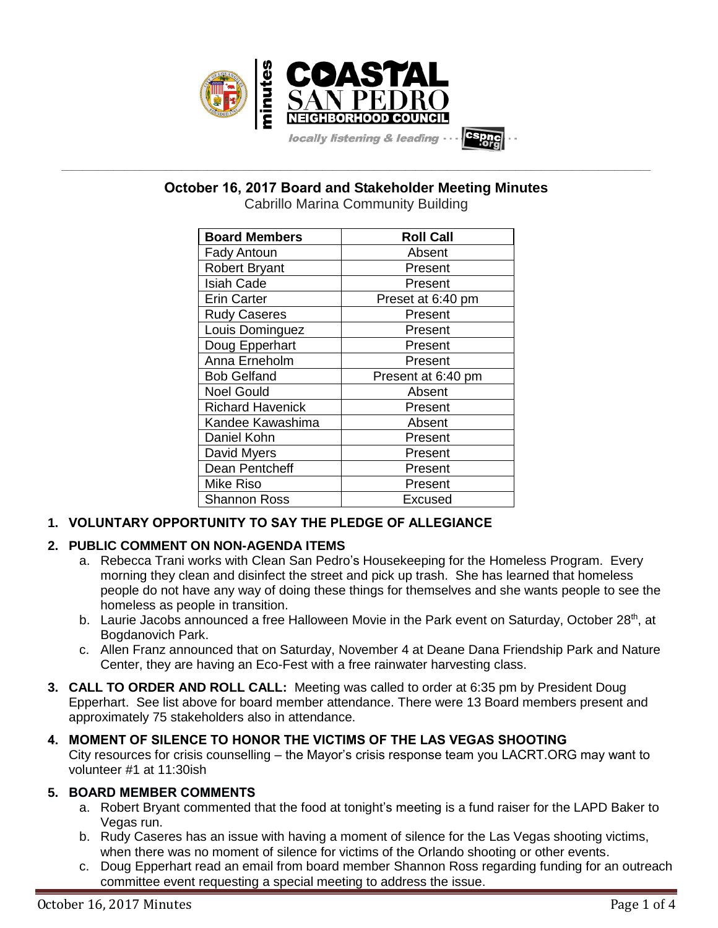

**\_\_\_\_\_\_\_\_\_\_\_\_\_\_\_\_\_\_\_\_\_\_\_\_\_\_\_\_\_\_\_\_\_\_\_\_\_\_\_\_\_\_\_\_\_\_\_\_\_\_\_\_\_\_\_\_\_\_\_\_\_\_\_\_\_\_\_\_\_\_\_\_\_\_\_\_\_\_\_\_\_\_\_\_\_\_\_\_\_\_\_\_\_\_\_\_\_\_\_\_\_\_\_\_\_\_\_\_\_\_\_\_\_ October 16, 2017 Board and Stakeholder Meeting Minutes**

Cabrillo Marina Community Building

| <b>Board Members</b>    | <b>Roll Call</b>   |
|-------------------------|--------------------|
| <b>Fady Antoun</b>      | Absent             |
| <b>Robert Bryant</b>    | Present            |
| <b>Isiah Cade</b>       | Present            |
| <b>Erin Carter</b>      | Preset at 6:40 pm  |
| <b>Rudy Caseres</b>     | Present            |
| Louis Dominguez         | Present            |
| Doug Epperhart          | Present            |
| Anna Erneholm           | Present            |
| <b>Bob Gelfand</b>      | Present at 6:40 pm |
| <b>Noel Gould</b>       | Absent             |
| <b>Richard Havenick</b> | Present            |
| Kandee Kawashima        | Absent             |
| Daniel Kohn             | Present            |
| David Myers             | Present            |
| Dean Pentcheff          | Present            |
| <b>Mike Riso</b>        | Present            |
| Shannon Ross            | Excused            |

# **1. VOLUNTARY OPPORTUNITY TO SAY THE PLEDGE OF ALLEGIANCE**

# **2. PUBLIC COMMENT ON NON-AGENDA ITEMS**

- a. Rebecca Trani works with Clean San Pedro's Housekeeping for the Homeless Program. Every morning they clean and disinfect the street and pick up trash. She has learned that homeless people do not have any way of doing these things for themselves and she wants people to see the homeless as people in transition.
- b. Laurie Jacobs announced a free Halloween Movie in the Park event on Saturday, October 28<sup>th</sup>, at Bogdanovich Park.
- c. Allen Franz announced that on Saturday, November 4 at Deane Dana Friendship Park and Nature Center, they are having an Eco-Fest with a free rainwater harvesting class.
- **3. CALL TO ORDER AND ROLL CALL:** Meeting was called to order at 6:35 pm by President Doug Epperhart. See list above for board member attendance. There were 13 Board members present and approximately 75 stakeholders also in attendance.

## **4. MOMENT OF SILENCE TO HONOR THE VICTIMS OF THE LAS VEGAS SHOOTING** City resources for crisis counselling – the Mayor's crisis response team you LACRT.ORG may want to volunteer #1 at 11:30ish

# **5. BOARD MEMBER COMMENTS**

- a. Robert Bryant commented that the food at tonight's meeting is a fund raiser for the LAPD Baker to Vegas run.
- b. Rudy Caseres has an issue with having a moment of silence for the Las Vegas shooting victims, when there was no moment of silence for victims of the Orlando shooting or other events.
- c. Doug Epperhart read an email from board member Shannon Ross regarding funding for an outreach committee event requesting a special meeting to address the issue.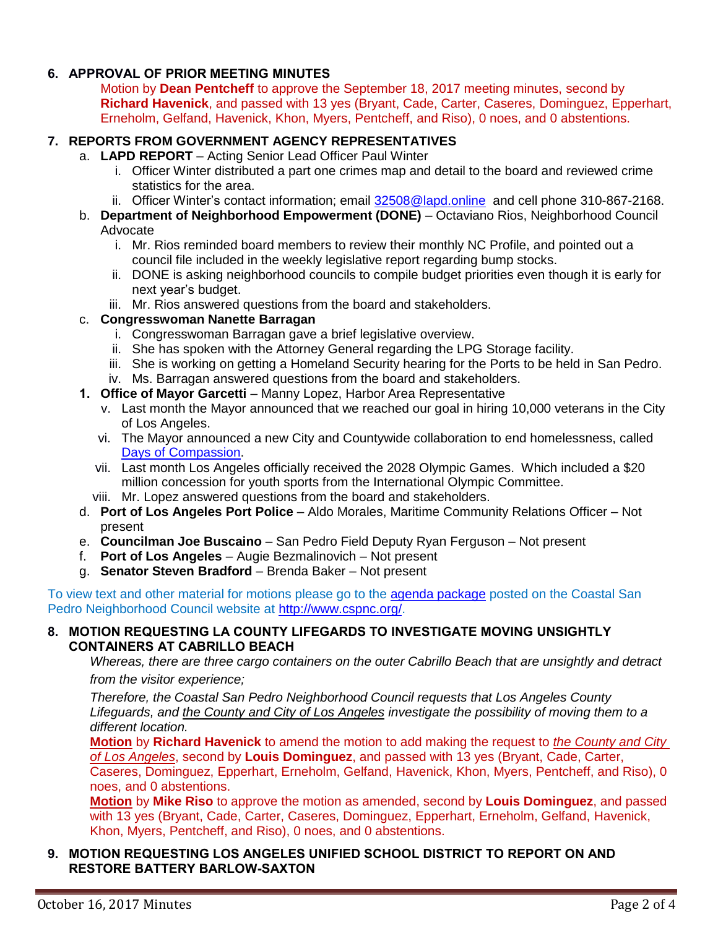# **6. APPROVAL OF PRIOR MEETING MINUTES**

Motion by **Dean Pentcheff** to approve the September 18, 2017 meeting minutes, second by **Richard Havenick**, and passed with 13 yes (Bryant, Cade, Carter, Caseres, Dominguez, Epperhart, Erneholm, Gelfand, Havenick, Khon, Myers, Pentcheff, and Riso), 0 noes, and 0 abstentions.

### **7. REPORTS FROM GOVERNMENT AGENCY REPRESENTATIVES**

- a. **LAPD REPORT** Acting Senior Lead Officer Paul Winter
	- i. Officer Winter distributed a part one crimes map and detail to the board and reviewed crime statistics for the area.
	- ii. Officer Winter's contact information; email [32508@lapd.online](mailto:32508@lapd.online) and cell phone 310-867-2168.
- b. **Department of Neighborhood Empowerment (DONE)** Octaviano Rios, Neighborhood Council Advocate
	- i. Mr. Rios reminded board members to review their monthly NC Profile, and pointed out a council file included in the weekly legislative report regarding bump stocks.
	- ii. DONE is asking neighborhood councils to compile budget priorities even though it is early for next year's budget.
	- iii. Mr. Rios answered questions from the board and stakeholders.

### c. **Congresswoman Nanette Barragan**

- i. Congresswoman Barragan gave a brief legislative overview.
- ii. She has spoken with the Attorney General regarding the LPG Storage facility.
- iii. She is working on getting a Homeland Security hearing for the Ports to be held in San Pedro.
- iv. Ms. Barragan answered questions from the board and stakeholders.
- **1. Office of Mayor Garcetti** Manny Lopez, Harbor Area Representative
	- v. Last month the Mayor announced that we reached our goal in hiring 10,000 veterans in the City of Los Angeles.
	- vi. The Mayor announced a new City and Countywide collaboration to end homelessness, called [Days of Compassion.](https://www.lamayor.org/DaysOfCompassion)
	- vii. Last month Los Angeles officially received the 2028 Olympic Games. Which included a \$20 million concession for youth sports from the International Olympic Committee.
	- viii. Mr. Lopez answered questions from the board and stakeholders.
- d. **Port of Los Angeles Port Police** Aldo Morales, Maritime Community Relations Officer Not present
- e. **Councilman Joe Buscaino** San Pedro Field Deputy Ryan Ferguson Not present
- f. **Port of Los Angeles** Augie Bezmalinovich Not present
- g. **Senator Steven Bradford** Brenda Baker Not present

To view text and other material for motions please go to the [agenda package](http://www.cspnc.org/wp-content/uploads/2017/09/2017-09-18-CoastalSPNC-BoardAgenda-1.pdf) posted on the Coastal San Pedro Neighborhood Council website at [http://www.cspnc.org/.](http://www.cspnc.org/)

#### **8. MOTION REQUESTING LA COUNTY LIFEGARDS TO INVESTIGATE MOVING UNSIGHTLY CONTAINERS AT CABRILLO BEACH**

*Whereas, there are three cargo containers on the outer Cabrillo Beach that are unsightly and detract from the visitor experience;*

*Therefore, the Coastal San Pedro Neighborhood Council requests that Los Angeles County Lifeguards, and the County and City of Los Angeles investigate the possibility of moving them to a different location.*

**Motion** by **Richard Havenick** to amend the motion to add making the request to *the County and City of Los Angeles*, second by **Louis Dominguez**, and passed with 13 yes (Bryant, Cade, Carter, Caseres, Dominguez, Epperhart, Erneholm, Gelfand, Havenick, Khon, Myers, Pentcheff, and Riso), 0 noes, and 0 abstentions.

**Motion** by **Mike Riso** to approve the motion as amended, second by **Louis Dominguez**, and passed with 13 yes (Bryant, Cade, Carter, Caseres, Dominguez, Epperhart, Erneholm, Gelfand, Havenick, Khon, Myers, Pentcheff, and Riso), 0 noes, and 0 abstentions.

### **9. MOTION REQUESTING LOS ANGELES UNIFIED SCHOOL DISTRICT TO REPORT ON AND RESTORE BATTERY BARLOW-SAXTON**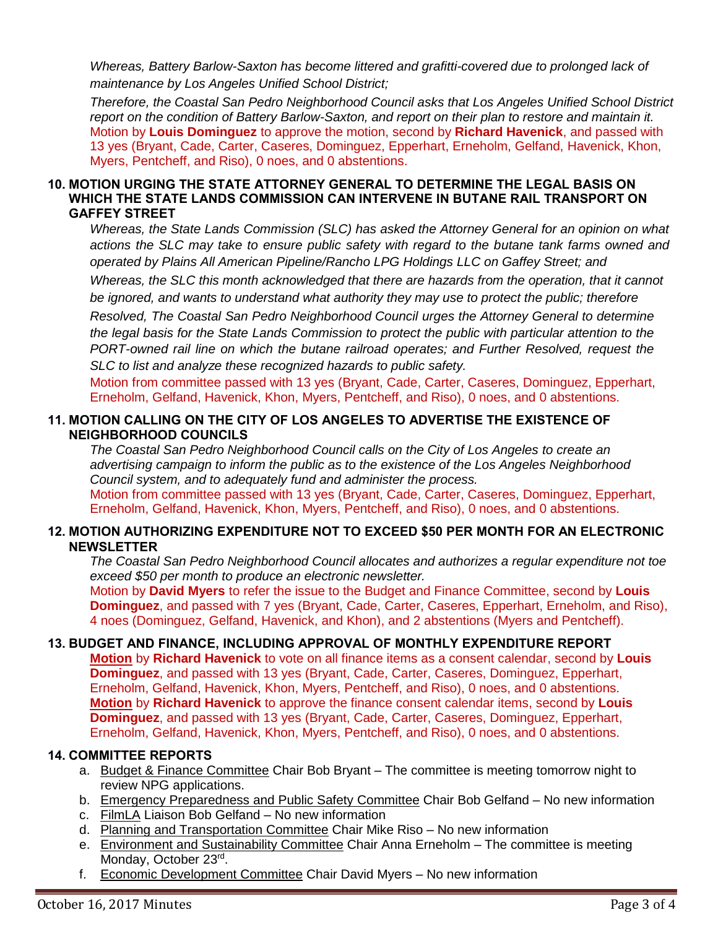*Whereas, Battery Barlow-Saxton has become littered and grafitti-covered due to prolonged lack of maintenance by Los Angeles Unified School District;*

*Therefore, the Coastal San Pedro Neighborhood Council asks that Los Angeles Unified School District report on the condition of Battery Barlow-Saxton, and report on their plan to restore and maintain it.* Motion by **Louis Dominguez** to approve the motion, second by **Richard Havenick**, and passed with 13 yes (Bryant, Cade, Carter, Caseres, Dominguez, Epperhart, Erneholm, Gelfand, Havenick, Khon, Myers, Pentcheff, and Riso), 0 noes, and 0 abstentions.

### **10. MOTION URGING THE STATE ATTORNEY GENERAL TO DETERMINE THE LEGAL BASIS ON WHICH THE STATE LANDS COMMISSION CAN INTERVENE IN BUTANE RAIL TRANSPORT ON GAFFEY STREET**

*Whereas, the State Lands Commission (SLC) has asked the Attorney General for an opinion on what actions the SLC may take to ensure public safety with regard to the butane tank farms owned and operated by Plains All American Pipeline/Rancho LPG Holdings LLC on Gaffey Street; and*

*Whereas, the SLC this month acknowledged that there are hazards from the operation, that it cannot be ignored, and wants to understand what authority they may use to protect the public; therefore*

*Resolved, The Coastal San Pedro Neighborhood Council urges the Attorney General to determine the legal basis for the State Lands Commission to protect the public with particular attention to the PORT-owned rail line on which the butane railroad operates; and Further Resolved, request the SLC to list and analyze these recognized hazards to public safety.*

Motion from committee passed with 13 yes (Bryant, Cade, Carter, Caseres, Dominguez, Epperhart, Erneholm, Gelfand, Havenick, Khon, Myers, Pentcheff, and Riso), 0 noes, and 0 abstentions.

## **11. MOTION CALLING ON THE CITY OF LOS ANGELES TO ADVERTISE THE EXISTENCE OF NEIGHBORHOOD COUNCILS**

*The Coastal San Pedro Neighborhood Council calls on the City of Los Angeles to create an advertising campaign to inform the public as to the existence of the Los Angeles Neighborhood Council system, and to adequately fund and administer the process.* Motion from committee passed with 13 yes (Bryant, Cade, Carter, Caseres, Dominguez, Epperhart, Erneholm, Gelfand, Havenick, Khon, Myers, Pentcheff, and Riso), 0 noes, and 0 abstentions.

# **12. MOTION AUTHORIZING EXPENDITURE NOT TO EXCEED \$50 PER MONTH FOR AN ELECTRONIC NEWSLETTER**

*The Coastal San Pedro Neighborhood Council allocates and authorizes a regular expenditure not toe exceed \$50 per month to produce an electronic newsletter.*

Motion by **David Myers** to refer the issue to the Budget and Finance Committee, second by **Louis Dominguez**, and passed with 7 yes (Bryant, Cade, Carter, Caseres, Epperhart, Erneholm, and Riso), 4 noes (Dominguez, Gelfand, Havenick, and Khon), and 2 abstentions (Myers and Pentcheff).

# **13. BUDGET AND FINANCE, INCLUDING APPROVAL OF MONTHLY EXPENDITURE REPORT**

**Motion** by **Richard Havenick** to vote on all finance items as a consent calendar, second by **Louis Dominguez**, and passed with 13 yes (Bryant, Cade, Carter, Caseres, Dominguez, Epperhart, Erneholm, Gelfand, Havenick, Khon, Myers, Pentcheff, and Riso), 0 noes, and 0 abstentions. **Motion** by **Richard Havenick** to approve the finance consent calendar items, second by **Louis Dominguez**, and passed with 13 yes (Bryant, Cade, Carter, Caseres, Dominguez, Epperhart, Erneholm, Gelfand, Havenick, Khon, Myers, Pentcheff, and Riso), 0 noes, and 0 abstentions.

## **14. COMMITTEE REPORTS**

- a. Budget & Finance Committee Chair Bob Bryant The committee is meeting tomorrow night to review NPG applications.
- b. Emergency Preparedness and Public Safety Committee Chair Bob Gelfand No new information
- c. FilmLA Liaison Bob Gelfand No new information
- d. Planning and Transportation Committee Chair Mike Riso No new information
- e. Environment and Sustainability Committee Chair Anna Erneholm The committee is meeting Monday, October 23<sup>rd</sup>.
- f. Economic Development Committee Chair David Myers No new information